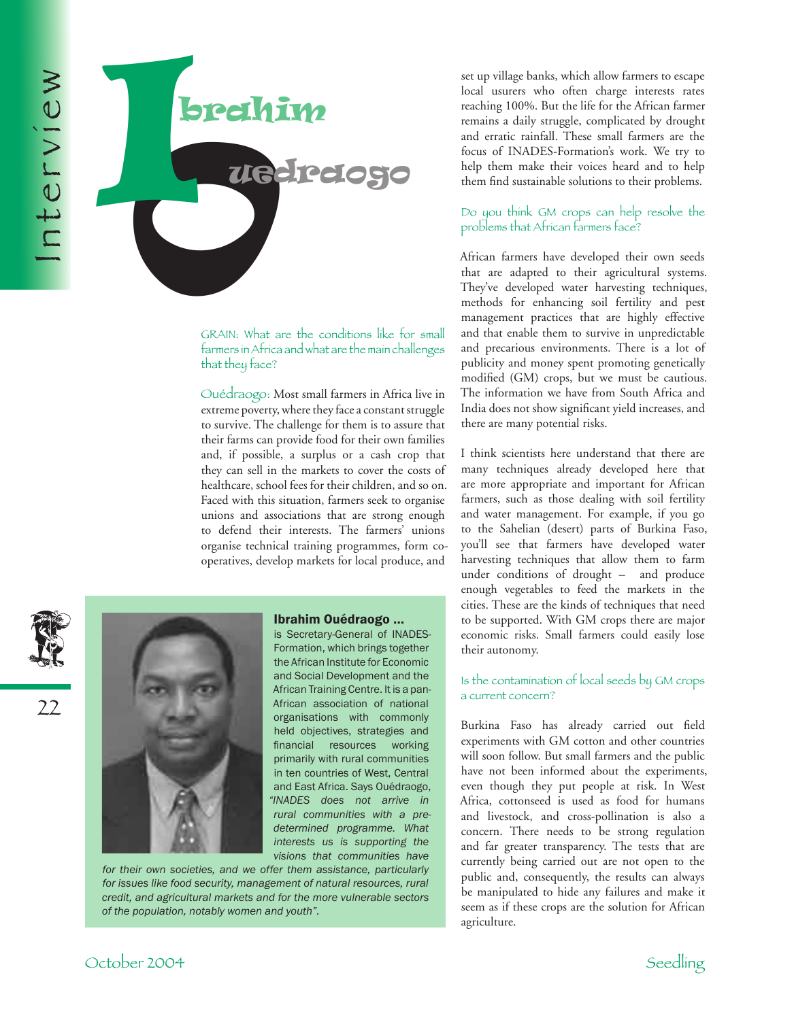

GRAIN: What are the conditions like for small farmers in Africa and what are the main challenges that they face?

Ouédraogo: Most small farmers in Africa live in extreme poverty, where they face a constant struggle to survive. The challenge for them is to assure that their farms can provide food for their own families and, if possible, a surplus or a cash crop that they can sell in the markets to cover the costs of healthcare, school fees for their children, and so on. Faced with this situation, farmers seek to organise unions and associations that are strong enough to defend their interests. The farmers' unions organise technical training programmes, form cooperatives, develop markets for local produce, and

## Ibrahim Ouédraogo ...

is Secretary-General of INADES-Formation, which brings together the African Institute for Economic and Social Development and the African Training Centre. It is a pan-African association of national organisations with commonly held objectives, strategies and financial resources working primarily with rural communities in ten countries of West, Central and East Africa. Says Ouédraogo, *"INADES does not arrive in rural communities with a predetermined programme. What interests us is supporting the visions that communities have* 

*for their own societies, and we offer them assistance, particularly for issues like food security, management of natural resources, rural credit, and agricultural markets and for the more vulnerable sectors of the population, notably women and youth".*

set up village banks, which allow farmers to escape local usurers who often charge interests rates reaching 100%. But the life for the African farmer remains a daily struggle, complicated by drought and erratic rainfall. These small farmers are the focus of INADES-Formation's work. We try to help them make their voices heard and to help them find sustainable solutions to their problems.

## Do you think GM crops can help resolve the problems that African farmers face?

African farmers have developed their own seeds that are adapted to their agricultural systems. They've developed water harvesting techniques, methods for enhancing soil fertility and pest management practices that are highly effective and that enable them to survive in unpredictable and precarious environments. There is a lot of publicity and money spent promoting genetically modified (GM) crops, but we must be cautious. The information we have from South Africa and India does not show significant yield increases, and there are many potential risks.

I think scientists here understand that there are many techniques already developed here that are more appropriate and important for African farmers, such as those dealing with soil fertility and water management. For example, if you go to the Sahelian (desert) parts of Burkina Faso, you'll see that farmers have developed water harvesting techniques that allow them to farm under conditions of drought – and produce enough vegetables to feed the markets in the cities. These are the kinds of techniques that need to be supported. With GM crops there are major economic risks. Small farmers could easily lose their autonomy.

## Is the contamination of local seeds by GM crops a current concern?

Burkina Faso has already carried out field experiments with GM cotton and other countries will soon follow. But small farmers and the public have not been informed about the experiments, even though they put people at risk. In West Africa, cottonseed is used as food for humans and livestock, and cross-pollination is also a concern. There needs to be strong regulation and far greater transparency. The tests that are currently being carried out are not open to the public and, consequently, the results can always be manipulated to hide any failures and make it seem as if these crops are the solution for African agriculture.

22



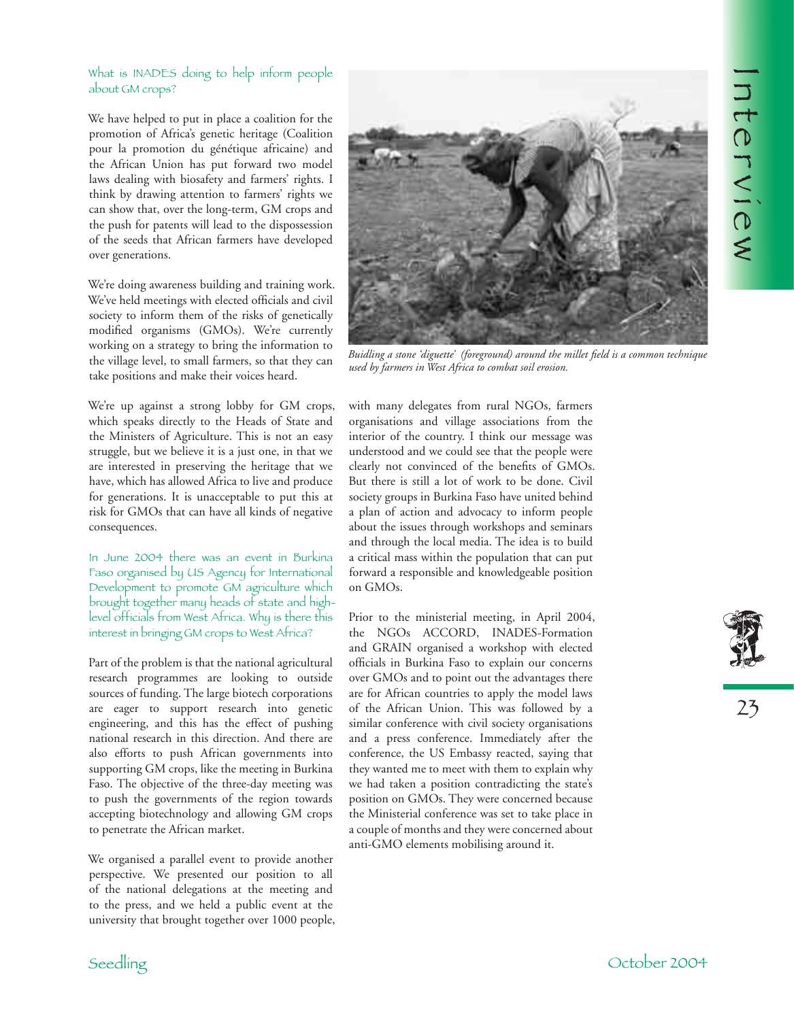$\overline{\mathbf{J}}$  t e r v i e $\lesssim$ 

## What is INADES doing to help inform people about GM crops?

We have helped to put in place a coalition for the promotion of Africa's genetic heritage (Coalition pour la promotion du génétique africaine) and the African Union has put forward two model laws dealing with biosafety and farmers' rights. I think by drawing attention to farmers' rights we can show that, over the long-term, GM crops and the push for patents will lead to the dispossession of the seeds that African farmers have developed over generations.

We're doing awareness building and training work. We've held meetings with elected officials and civil society to inform them of the risks of genetically modified organisms (GMOs). We're currently working on a strategy to bring the information to the village level, to small farmers, so that they can take positions and make their voices heard.

We're up against a strong lobby for GM crops, which speaks directly to the Heads of State and the Ministers of Agriculture. This is not an easy struggle, but we believe it is a just one, in that we are interested in preserving the heritage that we have, which has allowed Africa to live and produce for generations. It is unacceptable to put this at risk for GMOs that can have all kinds of negative consequences.

In June 2004 there was an event in Burkina Faso organised by US Agency for International Development to promote GM agriculture which brought together many heads of state and highlevel officials from West Africa. Why is there this interest in bringing GM crops to West Africa?

Part of the problem is that the national agricultural research programmes are looking to outside sources of funding. The large biotech corporations are eager to support research into genetic engineering, and this has the effect of pushing national research in this direction. And there are also efforts to push African governments into supporting GM crops, like the meeting in Burkina Faso. The objective of the three-day meeting was to push the governments of the region towards accepting biotechnology and allowing GM crops to penetrate the African market.

We organised a parallel event to provide another perspective. We presented our position to all of the national delegations at the meeting and to the press, and we held a public event at the university that brought together over 1000 people,



*Buidling a stone 'diguette' (foreground) around the millet field is a common technique used by farmers in West Africa to combat soil erosion.*

with many delegates from rural NGOs, farmers organisations and village associations from the interior of the country. I think our message was understood and we could see that the people were clearly not convinced of the benefits of GMOs. But there is still a lot of work to be done. Civil society groups in Burkina Faso have united behind a plan of action and advocacy to inform people about the issues through workshops and seminars and through the local media. The idea is to build a critical mass within the population that can put forward a responsible and knowledgeable position on GMOs.

Prior to the ministerial meeting, in April 2004, the NGOs ACCORD, INADES-Formation and GRAIN organised a workshop with elected officials in Burkina Faso to explain our concerns over GMOs and to point out the advantages there are for African countries to apply the model laws of the African Union. This was followed by a similar conference with civil society organisations and a press conference. Immediately after the conference, the US Embassy reacted, saying that they wanted me to meet with them to explain why we had taken a position contradicting the state's position on GMOs. They were concerned because the Ministerial conference was set to take place in a couple of months and they were concerned about anti-GMO elements mobilising around it.